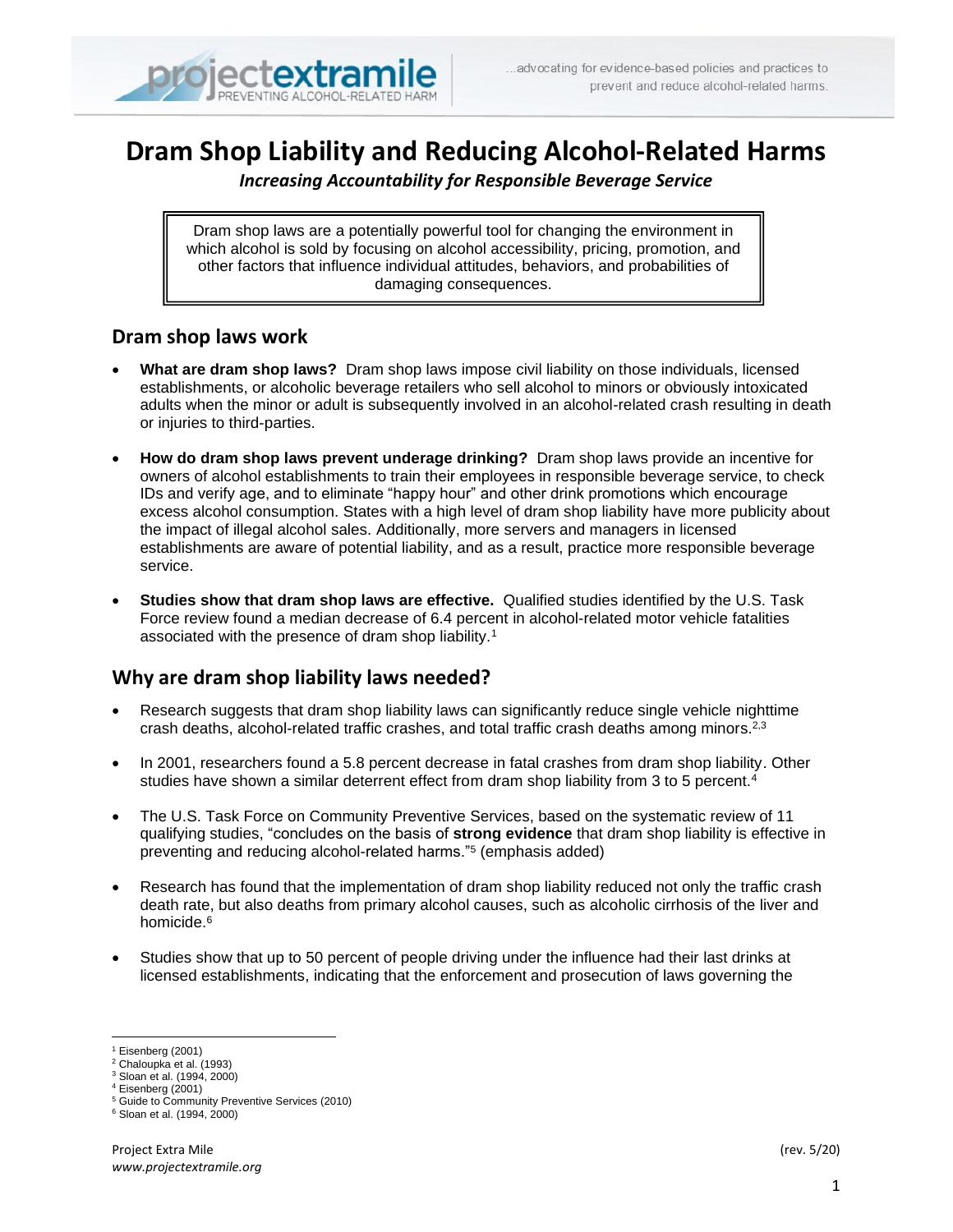# **Dram Shop Liability and Reducing Alcohol-Related Harms**

*Increasing Accountability for Responsible Beverage Service*

Dram shop laws are a potentially powerful tool for changing the environment in which alcohol is sold by focusing on alcohol accessibility, pricing, promotion, and other factors that influence individual attitudes, behaviors, and probabilities of damaging consequences.

## **Dram shop laws work**

- **What are dram shop laws?** Dram shop laws impose civil liability on those individuals, licensed establishments, or alcoholic beverage retailers who sell alcohol to minors or obviously intoxicated adults when the minor or adult is subsequently involved in an alcohol-related crash resulting in death or injuries to third-parties.
- **How do dram shop laws prevent underage drinking?** Dram shop laws provide an incentive for owners of alcohol establishments to train their employees in responsible beverage service, to check IDs and verify age, and to eliminate "happy hour" and other drink promotions which encourage excess alcohol consumption. States with a high level of dram shop liability have more publicity about the impact of illegal alcohol sales. Additionally, more servers and managers in licensed establishments are aware of potential liability, and as a result, practice more responsible beverage service.
- **Studies show that dram shop laws are effective.** Qualified studies identified by the U.S. Task Force review found a median decrease of 6.4 percent in alcohol-related motor vehicle fatalities associated with the presence of dram shop liability.<sup>1</sup>

## **Why are dram shop liability laws needed?**

- Research suggests that dram shop liability laws can significantly reduce single vehicle nighttime crash deaths, alcohol-related traffic crashes, and total traffic crash deaths among minors.<sup>2,3</sup>
- In 2001, researchers found a 5.8 percent decrease in fatal crashes from dram shop liability. Other studies have shown a similar deterrent effect from dram shop liability from 3 to 5 percent.<sup>4</sup>
- The U.S. Task Force on Community Preventive Services, based on the systematic review of 11 qualifying studies, "concludes on the basis of **strong evidence** that dram shop liability is effective in preventing and reducing alcohol-related harms."<sup>5</sup> (emphasis added)
- Research has found that the implementation of dram shop liability reduced not only the traffic crash death rate, but also deaths from primary alcohol causes, such as alcoholic cirrhosis of the liver and homicide.<sup>6</sup>
- Studies show that up to 50 percent of people driving under the influence had their last drinks at licensed establishments, indicating that the enforcement and prosecution of laws governing the

<sup>1</sup> Eisenberg (2001)

<sup>2</sup> Chaloupka et al. (1993)

<sup>3</sup> Sloan et al. (1994, 2000)

 $4$  Eisenberg (2001)

<sup>5</sup> Guide to Community Preventive Services (2010)

<sup>6</sup> Sloan et al. (1994, 2000)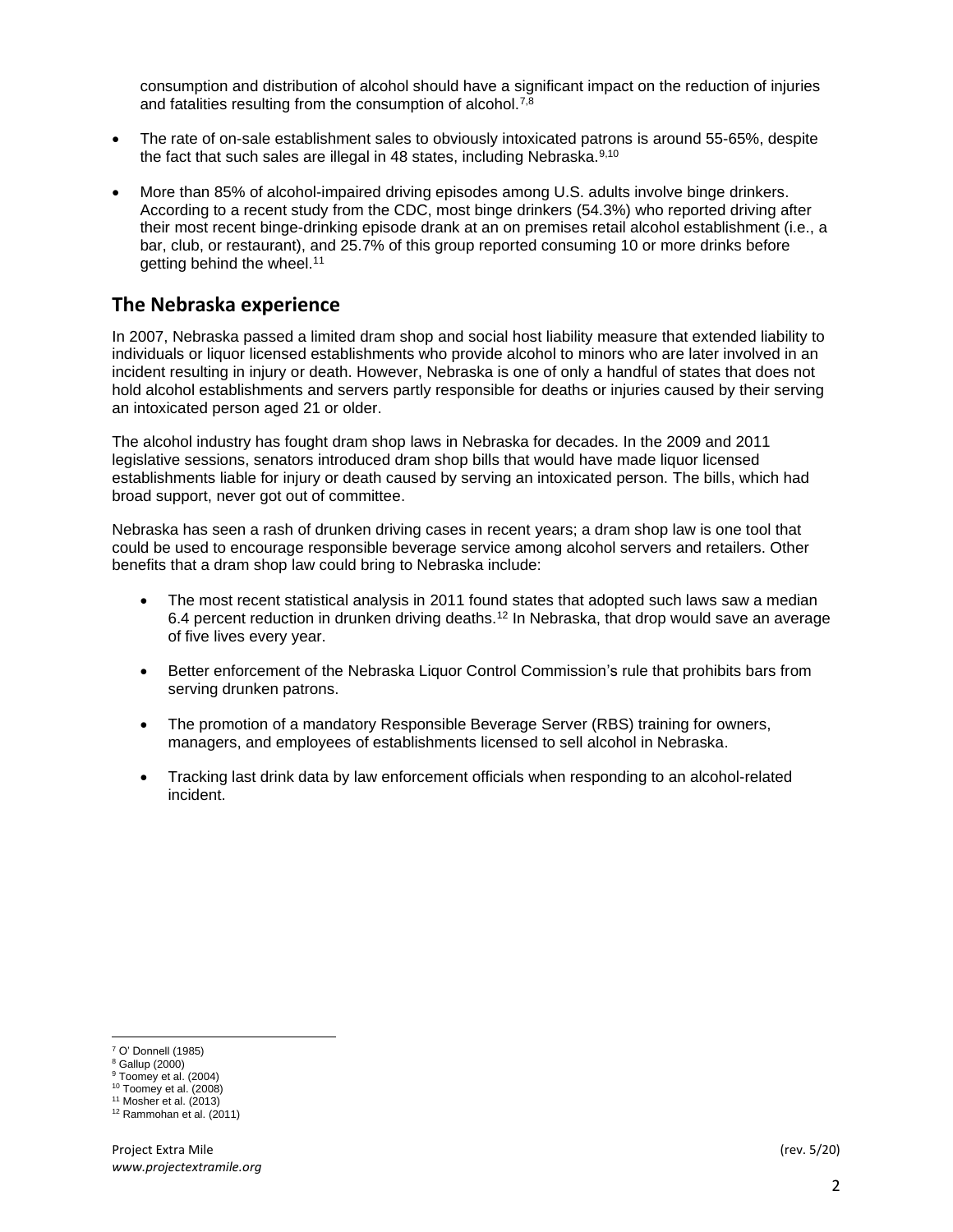consumption and distribution of alcohol should have a significant impact on the reduction of injuries and fatalities resulting from the consumption of alcohol. $7,8$ 

- The rate of on-sale establishment sales to obviously intoxicated patrons is around 55-65%, despite the fact that such sales are illegal in 48 states, including Nebraska. $9,10$
- More than 85% of alcohol-impaired driving episodes among U.S. adults involve binge drinkers. According to a recent study from the CDC, most binge drinkers (54.3%) who reported driving after their most recent binge-drinking episode drank at an on premises retail alcohol establishment (i.e., a bar, club, or restaurant), and 25.7% of this group reported consuming 10 or more drinks before getting behind the wheel.<sup>11</sup>

### **The Nebraska experience**

In 2007, Nebraska passed a limited dram shop and social host liability measure that extended liability to individuals or liquor licensed establishments who provide alcohol to minors who are later involved in an incident resulting in injury or death. However, Nebraska is one of only a handful of states that does not hold alcohol establishments and servers partly responsible for deaths or injuries caused by their serving an intoxicated person aged 21 or older.

The alcohol industry has fought dram shop laws in Nebraska for decades. In the 2009 and 2011 legislative sessions, senators introduced dram shop bills that would have made liquor licensed establishments liable for injury or death caused by serving an intoxicated person. The bills, which had broad support, never got out of committee.

Nebraska has seen a rash of drunken driving cases in recent years; a dram shop law is one tool that could be used to encourage responsible beverage service among alcohol servers and retailers. Other benefits that a dram shop law could bring to Nebraska include:

- The most recent statistical analysis in 2011 found states that adopted such laws saw a median 6.4 percent reduction in drunken driving deaths.<sup>12</sup> In Nebraska, that drop would save an average of five lives every year.
- Better enforcement of the Nebraska Liquor Control Commission's rule that prohibits bars from serving drunken patrons.
- The promotion of a mandatory Responsible Beverage Server (RBS) training for owners, managers, and employees of establishments licensed to sell alcohol in Nebraska.
- Tracking last drink data by law enforcement officials when responding to an alcohol-related incident.

<sup>7</sup> O' Donnell (1985)

<sup>8</sup> Gallup (2000)

 $9$  Toomey et al. (2004)

 $10$  Toomey et al. (2008)

 $11$  Mosher et al. (2013)

 $12$  Rammohan et al. (2011)